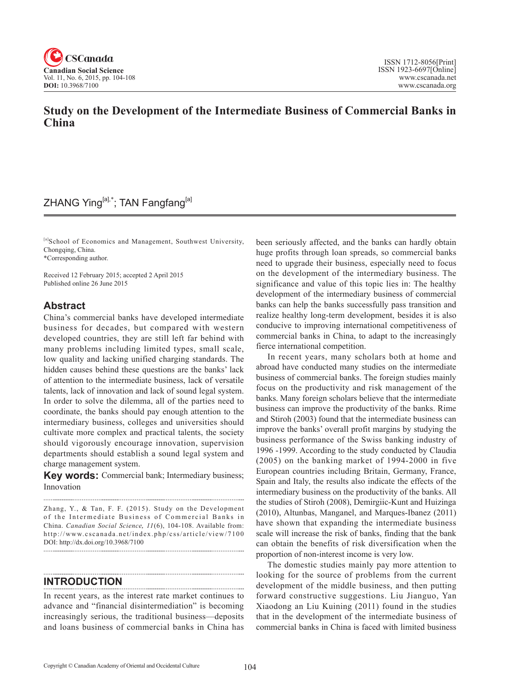

## **Study on the Development of the Intermediate Business of Commercial Banks in China**

## ZHANG Ying<sup>[a],\*</sup>; TAN Fangfang<sup>[a]</sup>

[a]School of Economics and Management, Southwest University, Chongqing, China.

\*Corresponding author.

Received 12 February 2015; accepted 2 April 2015 Published online 26 June 2015

### **Abstract**

China's commercial banks have developed intermediate business for decades, but compared with western developed countries, they are still left far behind with many problems including limited types, small scale, low quality and lacking unified charging standards. The hidden causes behind these questions are the banks' lack of attention to the intermediate business, lack of versatile talents, lack of innovation and lack of sound legal system. In order to solve the dilemma, all of the parties need to coordinate, the banks should pay enough attention to the intermediary business, colleges and universities should cultivate more complex and practical talents, the society should vigorously encourage innovation, supervision departments should establish a sound legal system and charge management system.

**Key words:** Commercial bank; Intermediary business; Innovation

Zhang, Y., & Tan, F. F. (2015). Study on the Development of the Intermediate Business of Commercial Banks in China. *Canadian Social Science*, 11(6), 104-108. Available from: http://www.cscanada.net/index.php/css/article/view/7100 DOI: http://dx.doi.org/10.3968/7100

### **INTRODUCTION**

In recent years, as the interest rate market continues to advance and "financial disintermediation" is becoming increasingly serious, the traditional business—deposits and loans business of commercial banks in China has

been seriously affected, and the banks can hardly obtain huge profits through loan spreads, so commercial banks need to upgrade their business, especially need to focus on the development of the intermediary business. The significance and value of this topic lies in: The healthy development of the intermediary business of commercial banks can help the banks successfully pass transition and realize healthy long-term development, besides it is also conducive to improving international competitiveness of commercial banks in China, to adapt to the increasingly fierce international competition.

In recent years, many scholars both at home and abroad have conducted many studies on the intermediate business of commercial banks. The foreign studies mainly focus on the productivity and risk management of the banks. Many foreign scholars believe that the intermediate business can improve the productivity of the banks. Rime and Stiroh (2003) found that the intermediate business can improve the banks' overall profit margins by studying the business performance of the Swiss banking industry of 1996 -1999. According to the study conducted by Claudia (2005) on the banking market of 1994-2000 in five European countries including Britain, Germany, France, Spain and Italy, the results also indicate the effects of the intermediary business on the productivity of the banks. All the studies of Stiroh (2008), Demirgiic-Kunt and Huizinga (2010), Altunbas, Manganel, and Marques-Ibanez (2011) have shown that expanding the intermediate business scale will increase the risk of banks, finding that the bank can obtain the benefits of risk diversification when the proportion of non-interest income is very low.

The domestic studies mainly pay more attention to looking for the source of problems from the current development of the middle business, and then putting forward constructive suggestions. Liu Jianguo, Yan Xiaodong an Liu Kuining (2011) found in the studies that in the development of the intermediate business of commercial banks in China is faced with limited business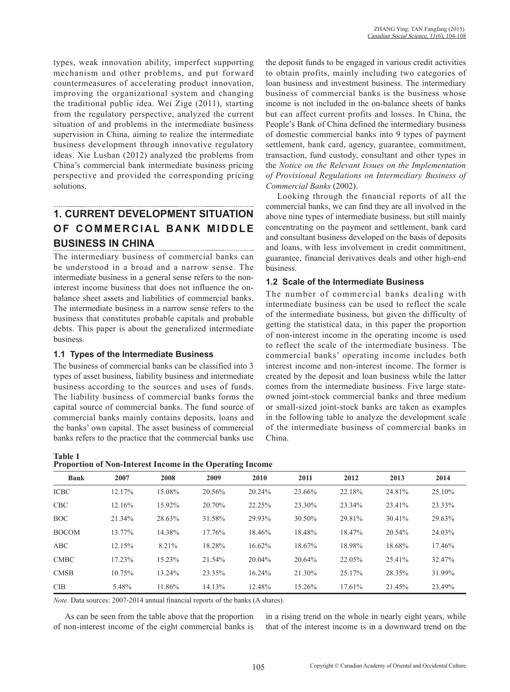types, weak innovation ability, imperfect supporting mechanism and other problems, and put forward countermeasures of accelerating product innovation, improving the organizational system and changing the traditional public idea. Wei Zige (2011), starting from the regulatory perspective, analyzed the current situation of and problems in the intermediate business supervision in China, aiming to realize the intermediate business development through innovative regulatory ideas. Xie Lushan (2012) analyzed the problems from China's commercial bank intermediate business pricing perspective and provided the corresponding pricing solutions.

# **1. CURRENT DEVELOPMENT SITUATION OF COMMERCIAL BANK MIDDLE BUSINESS IN CHINA**

The intermediary business of commercial banks can be understood in a broad and a narrow sense. The intermediate business in a general sense refers to the noninterest income business that does not influence the onbalance sheet assets and liabilities of commercial banks. The intermediate business in a narrow sense refers to the business that constitutes probable capitals and probable debts. This paper is about the generalized intermediate business.

#### **1.1 Types of the Intermediate Business**

The business of commercial banks can be classified into 3 types of asset business, liability business and intermediate business according to the sources and uses of funds. The liability business of commercial banks forms the capital source of commercial banks. The fund source of commercial banks mainly contains deposits, loans and the banks' own capital. The asset business of commercial banks refers to the practice that the commercial banks use

**Table 1 Proportion of Non-Interest Income in the Operating Income**

the deposit funds to be engaged in various credit activities to obtain profits, mainly including two categories of loan business and investment business. The intermediary business of commercial banks is the business whose income is not included in the on-balance sheets of banks but can affect current profits and losses. In China, the People's Bank of China defined the intermediary business of domestic commercial banks into 9 types of payment settlement, bank card, agency, guarantee, commitment, transaction, fund custody, consultant and other types in the *Notice on the Relevant Issues on the Implementation of Provisional Regulations on Intermediary Business of Commercial Banks* (2002).

Looking through the financial reports of all the commercial banks, we can find they are all involved in the above nine types of intermediate business, but still mainly concentrating on the payment and settlement, bank card and consultant business developed on the basis of deposits and loans, with less involvement in credit commitment, guarantee, financial derivatives deals and other high-end business.

#### **1.2 Scale of the Intermediate Business**

The number of commercial banks dealing with intermediate business can be used to reflect the scale of the intermediate business, but given the difficulty of getting the statistical data, in this paper the proportion of non-interest income in the operating income is used to reflect the scale of the intermediate business. The commercial banks' operating income includes both interest income and non-interest income. The former is created by the deposit and loan business while the latter comes from the intermediate business. Five large stateowned joint-stock commercial banks and three medium or small-sized joint-stock banks are taken as examples in the following table to analyze the development scale of the intermediate business of commercial banks in China.

| <b>Bank</b>  | 2007   | 2008   | 2009   | 2010      | 2011   | 2012   | 2013   | 2014   |
|--------------|--------|--------|--------|-----------|--------|--------|--------|--------|
| <b>ICBC</b>  | 12.17% | 15.08% | 20.56% | 20.24%    | 23.66% | 22.18% | 24.81% | 25.10% |
| <b>CBC</b>   | 12.16% | 15.92% | 20.70% | 22.25%    | 23.30% | 23.34% | 23.41% | 23.33% |
| <b>BOC</b>   | 21.34% | 28.63% | 31.58% | 29.93%    | 30.50% | 29.81% | 30.41% | 29.63% |
| <b>BOCOM</b> | 13.77% | 14.38% | 17.76% | 18.46%    | 18.48% | 18.47% | 20.54% | 24.03% |
| <b>ABC</b>   | 12.15% | 8.21%  | 18.28% | 16.62%    | 18.67% | 18.98% | 18.68% | 17.46% |
| <b>CMBC</b>  | 17.23% | 15.23% | 21.54% | $20.04\%$ | 20.64% | 22.05% | 25.41% | 32.47% |
| <b>CMSB</b>  | 10.75% | 13.24% | 23.35% | 16.24%    | 21.30% | 25.17% | 28.35% | 31.99% |
| <b>CIB</b>   | 5.48%  | 11.86% | 14.13% | 12.48%    | 15.26% | 17.61% | 21.45% | 23.49% |

*Note.* Data sources: 2007-2014 annual financial reports of the banks (A shares).

As can be seen from the table above that the proportion of non-interest income of the eight commercial banks is in a rising trend on the whole in nearly eight years, while that of the interest income is in a downward trend on the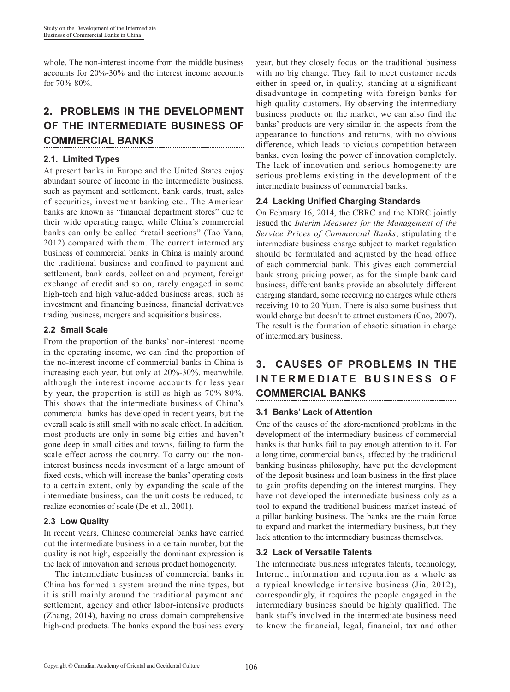whole. The non-interest income from the middle business accounts for 20%-30% and the interest income accounts for 70%-80%.

# **2. PROBLEMS IN THE DEVELOPMENT OF THE INTERMEDIATE BUSINESS OF COMMERCIAL BANKS**

### **2.1. Limited Types**

At present banks in Europe and the United States enjoy abundant source of income in the intermediate business, such as payment and settlement, bank cards, trust, sales of securities, investment banking etc.. The American banks are known as "financial department stores" due to their wide operating range, while China's commercial banks can only be called "retail sections" (Tao Yana, 2012) compared with them. The current intermediary business of commercial banks in China is mainly around the traditional business and confined to payment and settlement, bank cards, collection and payment, foreign exchange of credit and so on, rarely engaged in some high-tech and high value-added business areas, such as investment and financing business, financial derivatives trading business, mergers and acquisitions business.

#### **2.2 Small Scale**

From the proportion of the banks' non-interest income in the operating income, we can find the proportion of the no-interest income of commercial banks in China is increasing each year, but only at 20%-30%, meanwhile, although the interest income accounts for less year by year, the proportion is still as high as 70%-80%. This shows that the intermediate business of China's commercial banks has developed in recent years, but the overall scale is still small with no scale effect. In addition, most products are only in some big cities and haven't gone deep in small cities and towns, failing to form the scale effect across the country. To carry out the noninterest business needs investment of a large amount of fixed costs, which will increase the banks' operating costs to a certain extent, only by expanding the scale of the intermediate business, can the unit costs be reduced, to realize economies of scale (De et al., 2001).

#### **2.3 Low Quality**

In recent years, Chinese commercial banks have carried out the intermediate business in a certain number, but the quality is not high, especially the dominant expression is the lack of innovation and serious product homogeneity.

The intermediate business of commercial banks in China has formed a system around the nine types, but it is still mainly around the traditional payment and settlement, agency and other labor-intensive products (Zhang, 2014), having no cross domain comprehensive high-end products. The banks expand the business every year, but they closely focus on the traditional business with no big change. They fail to meet customer needs either in speed or, in quality, standing at a significant disadvantage in competing with foreign banks for high quality customers. By observing the intermediary business products on the market, we can also find the banks' products are very similar in the aspects from the appearance to functions and returns, with no obvious difference, which leads to vicious competition between banks, even losing the power of innovation completely. The lack of innovation and serious homogeneity are serious problems existing in the development of the intermediate business of commercial banks.

#### **2.4 Lacking Unified Charging Standards**

On February 16, 2014, the CBRC and the NDRC jointly issued the *Interim Measures for the Management of the Service Prices of Commercial Banks*, stipulating the intermediate business charge subject to market regulation should be formulated and adjusted by the head office of each commercial bank. This gives each commercial bank strong pricing power, as for the simple bank card business, different banks provide an absolutely different charging standard, some receiving no charges while others receiving 10 to 20 Yuan. There is also some business that would charge but doesn't to attract customers (Cao, 2007). The result is the formation of chaotic situation in charge of intermediary business.

### **3. CAUSES OF PROBLEMS IN THE INTERMEDIATE BUSINESS OF COMMERCIAL BANKS**

#### **3.1 Banks' Lack of Attention**

One of the causes of the afore-mentioned problems in the development of the intermediary business of commercial banks is that banks fail to pay enough attention to it. For a long time, commercial banks, affected by the traditional banking business philosophy, have put the development of the deposit business and loan business in the first place to gain profits depending on the interest margins. They have not developed the intermediate business only as a tool to expand the traditional business market instead of a pillar banking business. The banks are the main force to expand and market the intermediary business, but they lack attention to the intermediary business themselves.

#### **3.2 Lack of Versatile Talents**

The intermediate business integrates talents, technology, Internet, information and reputation as a whole as a typical knowledge intensive business (Jia, 2012), correspondingly, it requires the people engaged in the intermediary business should be highly qualified. The bank staffs involved in the intermediate business need to know the financial, legal, financial, tax and other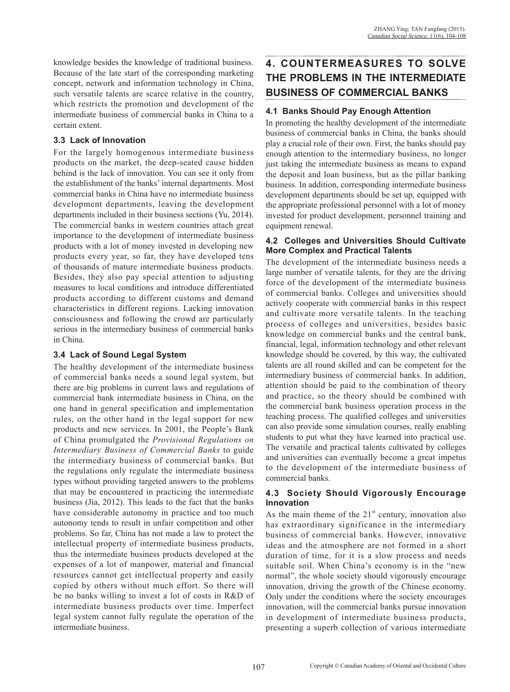knowledge besides the knowledge of traditional business. Because of the late start of the corresponding marketing concept, network and information technology in China, such versatile talents are scarce relative in the country, which restricts the promotion and development of the intermediate business of commercial banks in China to a certain extent.

#### **3.3 Lack of Innovation**

For the largely homogenous intermediate business products on the market, the deep-seated cause hidden behind is the lack of innovation. You can see it only from the establishment of the banks' internal departments. Most commercial banks in China have no intermediate business development departments, leaving the development departments included in their business sections (Yu, 2014). The commercial banks in western countries attach great importance to the development of intermediate business products with a lot of money invested in developing new products every year, so far, they have developed tens of thousands of mature intermediate business products. Besides, they also pay special attention to adjusting measures to local conditions and introduce differentiated products according to different customs and demand characteristics in different regions. Lacking innovation consciousness and following the crowd are particularly serious in the intermediary business of commercial banks in China.

#### **3.4 Lack of Sound Legal System**

The healthy development of the intermediate business of commercial banks needs a sound legal system, but there are big problems in current laws and regulations of commercial bank intermediate business in China, on the one hand in general specification and implementation rules, on the other hand in the legal support for new products and new services. In 2001, the People's Bank of China promulgated the *Provisional Regulations on Intermediary Business of Commercial Banks* to guide the intermediary business of commercial banks. But the regulations only regulate the intermediate business types without providing targeted answers to the problems that may be encountered in practicing the intermediate business (Jia, 2012). This leads to the fact that the banks have considerable autonomy in practice and too much autonomy tends to result in unfair competition and other problems. So far, China has not made a law to protect the intellectual property of intermediate business products, thus the intermediate business products developed at the expenses of a lot of manpower, material and financial resources cannot get intellectual property and easily copied by others without much effort. So there will be no banks willing to invest a lot of costs in R&D of intermediate business products over time. Imperfect legal system cannot fully regulate the operation of the intermediate business.

# **4. COUNTERMEASURES TO SOLVE THE PROBLEMS IN THE INTERMEDIATE BUSINESS OF COMMERCIAL BANKS**

#### **4.1 Banks Should Pay Enough Attention**

In promoting the healthy development of the intermediate business of commercial banks in China, the banks should play a crucial role of their own. First, the banks should pay enough attention to the intermediary business, no longer just taking the intermediate business as means to expand the deposit and loan business, but as the pillar banking business. In addition, corresponding intermediate business development departments should be set up, equipped with the appropriate professional personnel with a lot of money invested for product development, personnel training and equipment renewal.

#### **4.2 Colleges and Universities Should Cultivate More Complex and Practical Talents**

The development of the intermediate business needs a large number of versatile talents, for they are the driving force of the development of the intermediate business of commercial banks. Colleges and universities should actively cooperate with commercial banks in this respect and cultivate more versatile talents. In the teaching process of colleges and universities, besides basic knowledge on commercial banks and the central bank, financial, legal, information technology and other relevant knowledge should be covered, by this way, the cultivated talents are all round skilled and can be competent for the intermediary business of commercial banks. In addition, attention should be paid to the combination of theory and practice, so the theory should be combined with the commercial bank business operation process in the teaching process. The qualified colleges and universities can also provide some simulation courses, really enabling students to put what they have learned into practical use. The versatile and practical talents cultivated by colleges and universities can eventually become a great impetus to the development of the intermediate business of commercial banks.

#### **4.3 Society Should Vigorously Encourage Innovation**

As the main theme of the  $21<sup>st</sup>$  century, innovation also has extraordinary significance in the intermediary business of commercial banks. However, innovative ideas and the atmosphere are not formed in a short duration of time, for it is a slow process and needs suitable soil. When China's economy is in the "new normal", the whole society should vigorously encourage innovation, driving the growth of the Chinese economy. Only under the conditions where the society encourages innovation, will the commercial banks pursue innovation in development of intermediate business products, presenting a superb collection of various intermediate